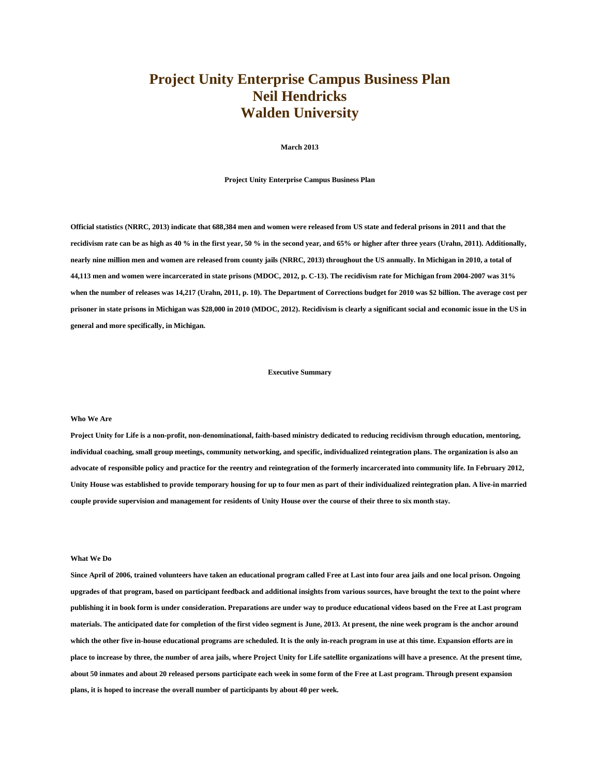## **Project Unity Enterprise Campus Business Plan Neil Hendricks Walden University**

**March 2013**

**Project Unity Enterprise Campus Business Plan**

**Official statistics (NRRC, 2013) indicate that 688,384 men and women were released from US state and federal prisons in 2011 and that the recidivism rate can be as high as 40 % in the first year, 50 % in the second year, and 65% or higher after three years (Urahn, 2011). Additionally, nearly nine million men and women are released from county jails (NRRC, 2013) throughout the US annually. In Michigan in 2010, a total of 44,113 men and women were incarcerated in state prisons (MDOC, 2012, p. C-13). The recidivism rate for Michigan from 2004-2007 was 31% when the number of releases was 14,217 (Urahn, 2011, p. 10). The Department of Corrections budget for 2010 was \$2 billion. The average cost per prisoner in state prisons in Michigan was \$28,000 in 2010 (MDOC, 2012). Recidivism is clearly a significant social and economic issue in the US in general and more specifically, in Michigan.**

## **Executive Summary**

#### **Who We Are**

**Project Unity for Life is a non-profit, non-denominational, faith-based ministry dedicated to reducing recidivism through education, mentoring, individual coaching, small group meetings, community networking, and specific, individualized reintegration plans. The organization is also an advocate of responsible policy and practice for the reentry and reintegration of the formerly incarcerated into community life. In February 2012, Unity House was established to provide temporary housing for up to four men as part of their individualized reintegration plan. A live-in married couple provide supervision and management for residents of Unity House over the course of their three to six month stay.**

## **What We Do**

**Since April of 2006, trained volunteers have taken an educational program called Free at Last into four area jails and one local prison. Ongoing upgrades of that program, based on participant feedback and additional insights from various sources, have brought the text to the point where publishing it in book form is under consideration. Preparations are under way to produce educational videos based on the Free at Last program materials. The anticipated date for completion of the first video segment is June, 2013. At present, the nine week program is the anchor around which the other five in-house educational programs are scheduled. It is the only in-reach program in use at this time. Expansion efforts are in place to increase by three, the number of area jails, where Project Unity for Life satellite organizations will have a presence. At the present time, about 50 inmates and about 20 released persons participate each week in some form of the Free at Last program. Through present expansion plans, it is hoped to increase the overall number of participants by about 40 per week.**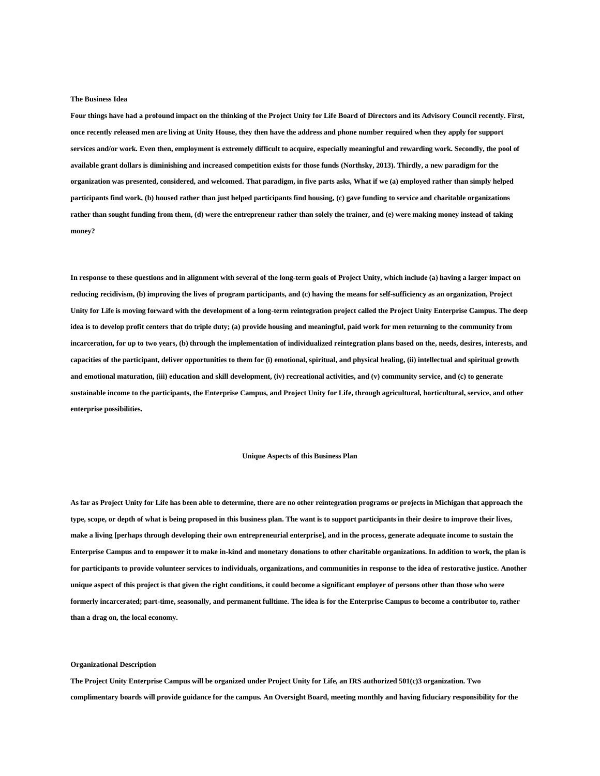#### **The Business Idea**

**Four things have had a profound impact on the thinking of the Project Unity for Life Board of Directors and its Advisory Council recently. First, once recently released men are living at Unity House, they then have the address and phone number required when they apply for support services and/or work. Even then, employment is extremely difficult to acquire, especially meaningful and rewarding work. Secondly, the pool of available grant dollars is diminishing and increased competition exists for those funds (Northsky, 2013). Thirdly, a new paradigm for the organization was presented, considered, and welcomed. That paradigm, in five parts asks, What if we (a) employed rather than simply helped participants find work, (b) housed rather than just helped participants find housing, (c) gave funding to service and charitable organizations rather than sought funding from them, (d) were the entrepreneur rather than solely the trainer, and (e) were making money instead of taking money?**

**In response to these questions and in alignment with several of the long-term goals of Project Unity, which include (a) having a larger impact on reducing recidivism, (b) improving the lives of program participants, and (c) having the means for self-sufficiency as an organization, Project Unity for Life is moving forward with the development of a long-term reintegration project called the Project Unity Enterprise Campus. The deep idea is to develop profit centers that do triple duty; (a) provide housing and meaningful, paid work for men returning to the community from incarceration, for up to two years, (b) through the implementation of individualized reintegration plans based on the, needs, desires, interests, and capacities of the participant, deliver opportunities to them for (i) emotional, spiritual, and physical healing, (ii) intellectual and spiritual growth and emotional maturation, (iii) education and skill development, (iv) recreational activities, and (v) community service, and (c) to generate sustainable income to the participants, the Enterprise Campus, and Project Unity for Life, through agricultural, horticultural, service, and other enterprise possibilities.**

## **Unique Aspects of this Business Plan**

**As far as Project Unity for Life has been able to determine, there are no other reintegration programs or projects in Michigan that approach the type, scope, or depth of what is being proposed in this business plan. The want is to support participants in their desire to improve their lives, make a living [perhaps through developing their own entrepreneurial enterprise], and in the process, generate adequate income to sustain the Enterprise Campus and to empower it to make in-kind and monetary donations to other charitable organizations. In addition to work, the plan is for participants to provide volunteer services to individuals, organizations, and communities in response to the idea of restorative justice. Another unique aspect of this project is that given the right conditions, it could become a significant employer of persons other than those who were formerly incarcerated; part-time, seasonally, and permanent fulltime. The idea is for the Enterprise Campus to become a contributor to, rather than a drag on, the local economy.**

**Organizational Description**

**The Project Unity Enterprise Campus will be organized under Project Unity for Life, an IRS authorized 501(c)3 organization. Two complimentary boards will provide guidance for the campus. An Oversight Board, meeting monthly and having fiduciary responsibility for the**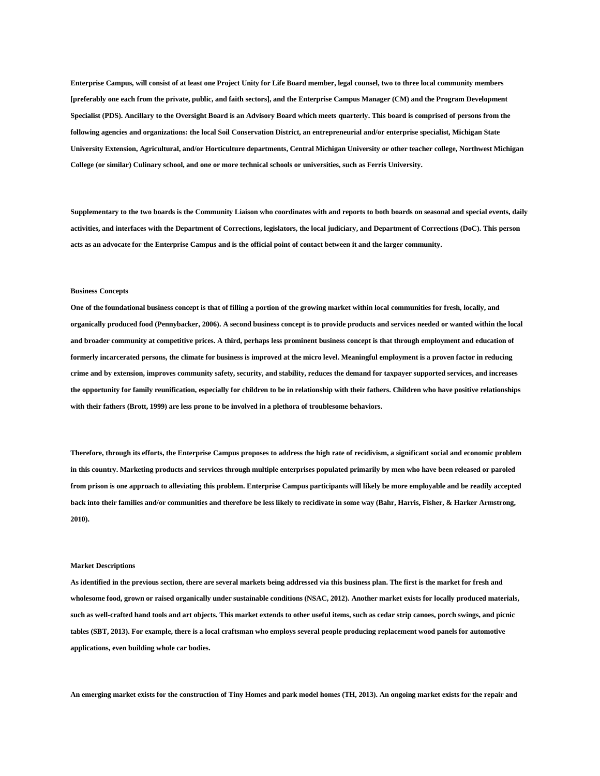**Enterprise Campus, will consist of at least one Project Unity for Life Board member, legal counsel, two to three local community members [preferably one each from the private, public, and faith sectors], and the Enterprise Campus Manager (CM) and the Program Development Specialist (PDS). Ancillary to the Oversight Board is an Advisory Board which meets quarterly. This board is comprised of persons from the following agencies and organizations: the local Soil Conservation District, an entrepreneurial and/or enterprise specialist, Michigan State University Extension, Agricultural, and/or Horticulture departments, Central Michigan University or other teacher college, Northwest Michigan College (or similar) Culinary school, and one or more technical schools or universities, such as Ferris University.**

**Supplementary to the two boards is the Community Liaison who coordinates with and reports to both boards on seasonal and special events, daily activities, and interfaces with the Department of Corrections, legislators, the local judiciary, and Department of Corrections (DoC). This person acts as an advocate for the Enterprise Campus and is the official point of contact between it and the larger community.**

#### **Business Concepts**

**One of the foundational business concept is that of filling a portion of the growing market within local communities for fresh, locally, and organically produced food (Pennybacker, 2006). A second business concept is to provide products and services needed or wanted within the local and broader community at competitive prices. A third, perhaps less prominent business concept is that through employment and education of formerly incarcerated persons, the climate for business is improved at the micro level. Meaningful employment is a proven factor in reducing crime and by extension, improves community safety, security, and stability, reduces the demand for taxpayer supported services, and increases the opportunity for family reunification, especially for children to be in relationship with their fathers. Children who have positive relationships with their fathers (Brott, 1999) are less prone to be involved in a plethora of troublesome behaviors.**

**Therefore, through its efforts, the Enterprise Campus proposes to address the high rate of recidivism, a significant social and economic problem in this country. Marketing products and services through multiple enterprises populated primarily by men who have been released or paroled from prison is one approach to alleviating this problem. Enterprise Campus participants will likely be more employable and be readily accepted back into their families and/or communities and therefore be less likely to recidivate in some way (Bahr, Harris, Fisher, & Harker Armstrong, 2010).**

#### **Market Descriptions**

**As identified in the previous section, there are several markets being addressed via this business plan. The first is the market for fresh and wholesome food, grown or raised organically under sustainable conditions (NSAC, 2012). Another market exists for locally produced materials, such as well-crafted hand tools and art objects. This market extends to other useful items, such as cedar strip canoes, porch swings, and picnic tables (SBT, 2013). For example, there is a local craftsman who employs several people producing replacement wood panels for automotive applications, even building whole car bodies.**

**An emerging market exists for the construction of Tiny Homes and park model homes (TH, 2013). An ongoing market exists for the repair and**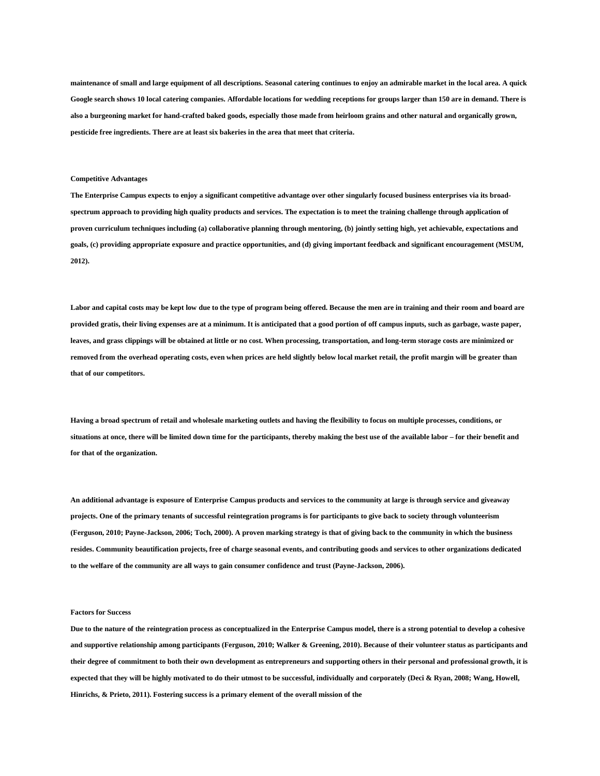**maintenance of small and large equipment of all descriptions. Seasonal catering continues to enjoy an admirable market in the local area. A quick Google search shows 10 local catering companies. Affordable locations for wedding receptions for groups larger than 150 are in demand. There is also a burgeoning market for hand-crafted baked goods, especially those made from heirloom grains and other natural and organically grown, pesticide free ingredients. There are at least six bakeries in the area that meet that criteria.**

## **Competitive Advantages**

**The Enterprise Campus expects to enjoy a significant competitive advantage over other singularly focused business enterprises via its broadspectrum approach to providing high quality products and services. The expectation is to meet the training challenge through application of proven curriculum techniques including (a) collaborative planning through mentoring, (b) jointly setting high, yet achievable, expectations and goals, (c) providing appropriate exposure and practice opportunities, and (d) giving important feedback and significant encouragement (MSUM, 2012).**

**Labor and capital costs may be kept low due to the type of program being offered. Because the men are in training and their room and board are provided gratis, their living expenses are at a minimum. It is anticipated that a good portion of off campus inputs, such as garbage, waste paper, leaves, and grass clippings will be obtained at little or no cost. When processing, transportation, and long-term storage costs are minimized or removed from the overhead operating costs, even when prices are held slightly below local market retail, the profit margin will be greater than that of our competitors.**

**Having a broad spectrum of retail and wholesale marketing outlets and having the flexibility to focus on multiple processes, conditions, or situations at once, there will be limited down time for the participants, thereby making the best use of the available labor – for their benefit and for that of the organization.**

**An additional advantage is exposure of Enterprise Campus products and services to the community at large is through service and giveaway projects. One of the primary tenants of successful reintegration programs is for participants to give back to society through volunteerism (Ferguson, 2010; Payne-Jackson, 2006; Toch, 2000). A proven marking strategy is that of giving back to the community in which the business resides. Community beautification projects, free of charge seasonal events, and contributing goods and services to other organizations dedicated to the welfare of the community are all ways to gain consumer confidence and trust (Payne-Jackson, 2006).**

## **Factors for Success**

**Due to the nature of the reintegration process as conceptualized in the Enterprise Campus model, there is a strong potential to develop a cohesive and supportive relationship among participants (Ferguson, 2010; Walker & Greening, 2010). Because of their volunteer status as participants and their degree of commitment to both their own development as entrepreneurs and supporting others in their personal and professional growth, it is expected that they will be highly motivated to do their utmost to be successful, individually and corporately (Deci & Ryan, 2008; Wang, Howell, Hinrichs, & Prieto, 2011). Fostering success is a primary element of the overall mission of the**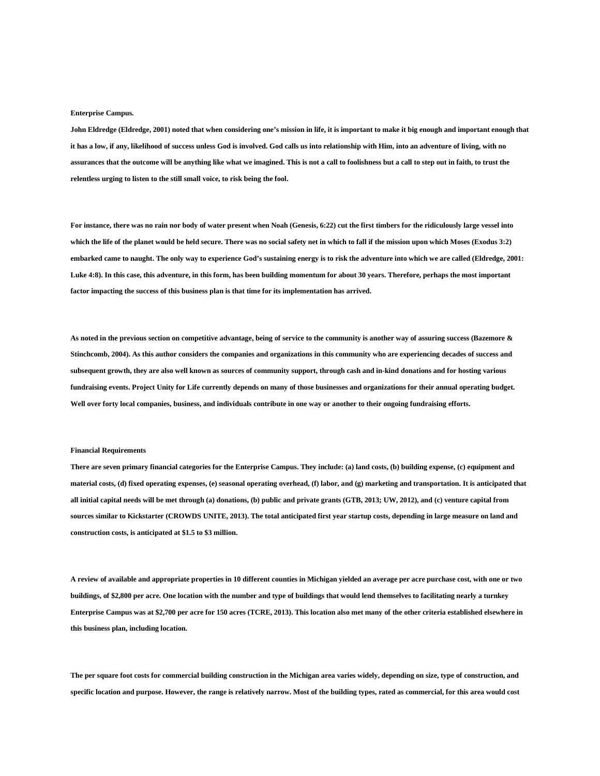#### **Enterprise Campus.**

**John Eldredge (Eldredge, 2001) noted that when considering one's mission in life, it is important to make it big enough and important enough that it has a low, if any, likelihood of success unless God is involved. God calls us into relationship with Him, into an adventure of living, with no assurances that the outcome will be anything like what we imagined. This is not a call to foolishness but a call to step out in faith, to trust the relentless urging to listen to the still small voice, to risk being the fool.**

**For instance, there was no rain nor body of water present when Noah (Genesis, 6:22) cut the first timbers for the ridiculously large vessel into which the life of the planet would be held secure. There was no social safety net in which to fall if the mission upon which Moses (Exodus 3:2) embarked came to naught. The only way to experience God's sustaining energy is to risk the adventure into which we are called (Eldredge, 2001: Luke 4:8). In this case, this adventure, in this form, has been building momentum for about 30 years. Therefore, perhaps the most important factor impacting the success of this business plan is that time for its implementation has arrived.**

**As noted in the previous section on competitive advantage, being of service to the community is another way of assuring success (Bazemore & Stinchcomb, 2004). As this author considers the companies and organizations in this community who are experiencing decades of success and subsequent growth, they are also well known as sources of community support, through cash and in-kind donations and for hosting various fundraising events. Project Unity for Life currently depends on many of those businesses and organizations for their annual operating budget. Well over forty local companies, business, and individuals contribute in one way or another to their ongoing fundraising efforts.**

#### **Financial Requirements**

**There are seven primary financial categories for the Enterprise Campus. They include: (a) land costs, (b) building expense, (c) equipment and material costs, (d) fixed operating expenses, (e) seasonal operating overhead, (f) labor, and (g) marketing and transportation. It is anticipated that all initial capital needs will be met through (a) donations, (b) public and private grants (GTB, 2013; UW, 2012), and (c) venture capital from sources similar to Kickstarter (CROWDS UNITE, 2013). The total anticipated first year startup costs, depending in large measure on land and construction costs, is anticipated at \$1.5 to \$3 million.**

**A review of available and appropriate properties in 10 different counties in Michigan yielded an average per acre purchase cost, with one or two buildings, of \$2,800 per acre. One location with the number and type of buildings that would lend themselves to facilitating nearly a turnkey Enterprise Campus was at \$2,700 per acre for 150 acres (TCRE, 2013). This location also met many of the other criteria established elsewhere in this business plan, including location.**

**The per square foot costs for commercial building construction in the Michigan area varies widely, depending on size, type of construction, and specific location and purpose. However, the range is relatively narrow. Most of the building types, rated as commercial, for this area would cost**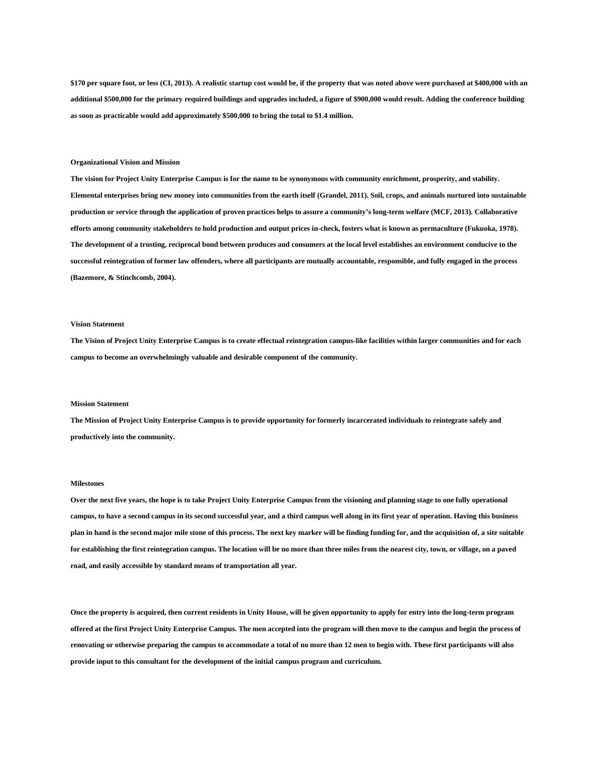**\$170 per square foot, or less (CI, 2013). A realistic startup cost would be, if the property that was noted above were purchased at \$400,000 with an additional \$500,000 for the primary required buildings and upgrades included, a figure of \$900,000 would result. Adding the conference building as soon as practicable would add approximately \$500,000 to bring the total to \$1.4 million.**

#### **Organizational Vision and Mission**

**The vision for Project Unity Enterprise Campus is for the name to be synonymous with community enrichment, prosperity, and stability. Elemental enterprises bring new money into communities from the earth itself (Grandel, 2011). Soil, crops, and animals nurtured into sustainable production or service through the application of proven practices helps to assure a community's long-term welfare (MCF, 2013). Collaborative efforts among community stakeholders to hold production and output prices in-check, fosters what is known as permaculture (Fukuoka, 1978). The development of a trusting, reciprocal bond between produces and consumers at the local level establishes an environment conducive to the successful reintegration of former law offenders, where all participants are mutually accountable, responsible, and fully engaged in the process (Bazemore, & Stinchcomb, 2004).**

## **Vision Statement**

**The Vision of Project Unity Enterprise Campus is to create effectual reintegration campus-like facilities within larger communities and for each campus to become an overwhelmingly valuable and desirable component of the community.**

#### **Mission Statement**

**The Mission of Project Unity Enterprise Campus is to provide opportunity for formerly incarcerated individuals to reintegrate safely and productively into the community.**

## **Milestones**

**Over the next five years, the hope is to take Project Unity Enterprise Campus from the visioning and planning stage to one fully operational campus, to have a second campus in its second successful year, and a third campus well along in its first year of operation. Having this business plan in hand is the second major mile stone of this process. The next key marker will be finding funding for, and the acquisition of, a site suitable for establishing the first reintegration campus. The location will be no more than three miles from the nearest city, town, or village, on a paved road, and easily accessible by standard means of transportation all year.**

**Once the property is acquired, then current residents in Unity House, will be given opportunity to apply for entry into the long-term program offered at the first Project Unity Enterprise Campus. The men accepted into the program will then move to the campus and begin the process of renovating or otherwise preparing the campus to accommodate a total of no more than 12 men to begin with. These first participants will also provide input to this consultant for the development of the initial campus program and curriculum.**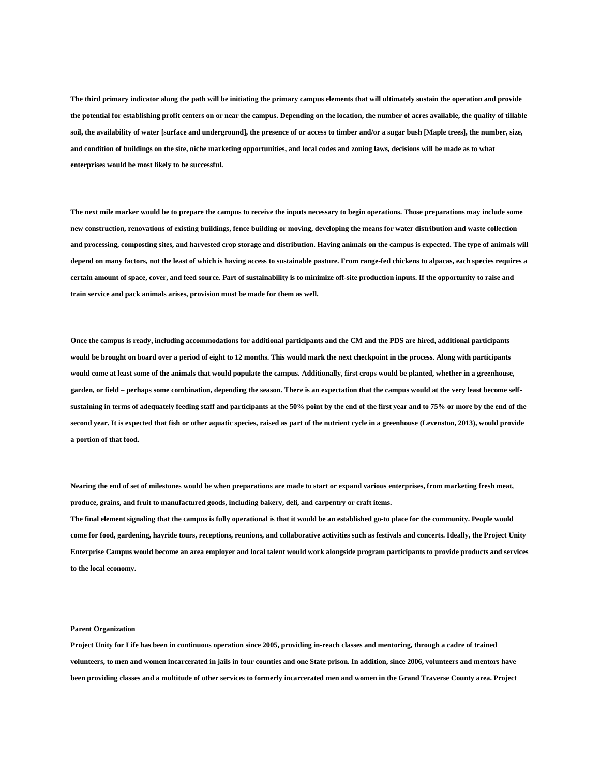**The third primary indicator along the path will be initiating the primary campus elements that will ultimately sustain the operation and provide the potential for establishing profit centers on or near the campus. Depending on the location, the number of acres available, the quality of tillable soil, the availability of water [surface and underground], the presence of or access to timber and/or a sugar bush [Maple trees], the number, size, and condition of buildings on the site, niche marketing opportunities, and local codes and zoning laws, decisions will be made as to what enterprises would be most likely to be successful.**

**The next mile marker would be to prepare the campus to receive the inputs necessary to begin operations. Those preparations may include some new construction, renovations of existing buildings, fence building or moving, developing the means for water distribution and waste collection and processing, composting sites, and harvested crop storage and distribution. Having animals on the campus is expected. The type of animals will depend on many factors, not the least of which is having access to sustainable pasture. From range-fed chickens to alpacas, each species requires a certain amount of space, cover, and feed source. Part of sustainability is to minimize off-site production inputs. If the opportunity to raise and train service and pack animals arises, provision must be made for them as well.**

**Once the campus is ready, including accommodations for additional participants and the CM and the PDS are hired, additional participants would be brought on board over a period of eight to 12 months. This would mark the next checkpoint in the process. Along with participants would come at least some of the animals that would populate the campus. Additionally, first crops would be planted, whether in a greenhouse, garden, or field – perhaps some combination, depending the season. There is an expectation that the campus would at the very least become selfsustaining in terms of adequately feeding staff and participants at the 50% point by the end of the first year and to 75% or more by the end of the second year. It is expected that fish or other aquatic species, raised as part of the nutrient cycle in a greenhouse (Levenston, 2013), would provide a portion of that food.**

**Nearing the end of set of milestones would be when preparations are made to start or expand various enterprises, from marketing fresh meat, produce, grains, and fruit to manufactured goods, including bakery, deli, and carpentry or craft items. The final element signaling that the campus is fully operational is that it would be an established go-to place for the community. People would come for food, gardening, hayride tours, receptions, reunions, and collaborative activities such as festivals and concerts. Ideally, the Project Unity Enterprise Campus would become an area employer and local talent would work alongside program participants to provide products and services to the local economy.**

## **Parent Organization**

**Project Unity for Life has been in continuous operation since 2005, providing in-reach classes and mentoring, through a cadre of trained volunteers, to men and women incarcerated in jails in four counties and one State prison. In addition, since 2006, volunteers and mentors have been providing classes and a multitude of other services to formerly incarcerated men and women in the Grand Traverse County area. Project**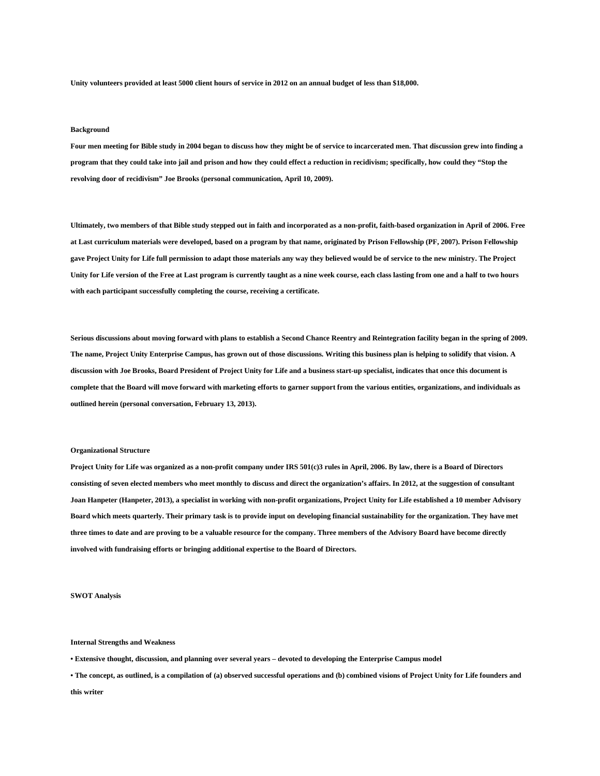**Unity volunteers provided at least 5000 client hours of service in 2012 on an annual budget of less than \$18,000.**

## **Background**

**Four men meeting for Bible study in 2004 began to discuss how they might be of service to incarcerated men. That discussion grew into finding a program that they could take into jail and prison and how they could effect a reduction in recidivism; specifically, how could they "Stop the revolving door of recidivism" Joe Brooks (personal communication, April 10, 2009).**

**Ultimately, two members of that Bible study stepped out in faith and incorporated as a non-profit, faith-based organization in April of 2006. Free at Last curriculum materials were developed, based on a program by that name, originated by Prison Fellowship (PF, 2007). Prison Fellowship gave Project Unity for Life full permission to adapt those materials any way they believed would be of service to the new ministry. The Project Unity for Life version of the Free at Last program is currently taught as a nine week course, each class lasting from one and a half to two hours with each participant successfully completing the course, receiving a certificate.**

**Serious discussions about moving forward with plans to establish a Second Chance Reentry and Reintegration facility began in the spring of 2009. The name, Project Unity Enterprise Campus, has grown out of those discussions. Writing this business plan is helping to solidify that vision. A discussion with Joe Brooks, Board President of Project Unity for Life and a business start-up specialist, indicates that once this document is complete that the Board will move forward with marketing efforts to garner support from the various entities, organizations, and individuals as outlined herein (personal conversation, February 13, 2013).**

#### **Organizational Structure**

**Project Unity for Life was organized as a non-profit company under IRS 501(c)3 rules in April, 2006. By law, there is a Board of Directors consisting of seven elected members who meet monthly to discuss and direct the organization's affairs. In 2012, at the suggestion of consultant Joan Hanpeter (Hanpeter, 2013), a specialist in working with non-profit organizations, Project Unity for Life established a 10 member Advisory Board which meets quarterly. Their primary task is to provide input on developing financial sustainability for the organization. They have met three times to date and are proving to be a valuable resource for the company. Three members of the Advisory Board have become directly involved with fundraising efforts or bringing additional expertise to the Board of Directors.**

**SWOT Analysis**

#### **Internal Strengths and Weakness**

- **Extensive thought, discussion, and planning over several years – devoted to developing the Enterprise Campus model**
- **The concept, as outlined, is a compilation of (a) observed successful operations and (b) combined visions of Project Unity for Life founders and this writer**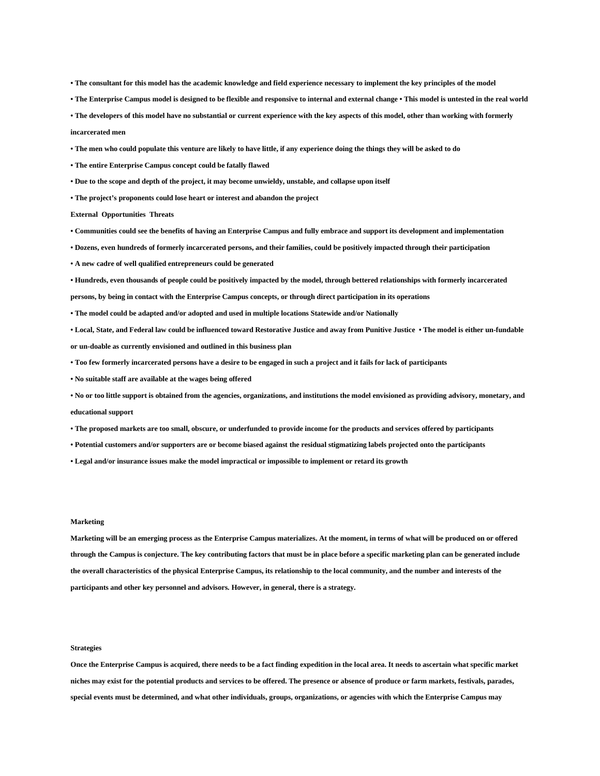- **The consultant for this model has the academic knowledge and field experience necessary to implement the key principles of the model**
- **The Enterprise Campus model is designed to be flexible and responsive to internal and external change This model is untested in the real world**
- **The developers of this model have no substantial or current experience with the key aspects of this model, other than working with formerly incarcerated men**
- **The men who could populate this venture are likely to have little, if any experience doing the things they will be asked to do**
- **The entire Enterprise Campus concept could be fatally flawed**
- **Due to the scope and depth of the project, it may become unwieldy, unstable, and collapse upon itself**
- **The project's proponents could lose heart or interest and abandon the project**

**External Opportunities Threats**

- **Communities could see the benefits of having an Enterprise Campus and fully embrace and support its development and implementation**
- **Dozens, even hundreds of formerly incarcerated persons, and their families, could be positively impacted through their participation**
- **A new cadre of well qualified entrepreneurs could be generated**
- **Hundreds, even thousands of people could be positively impacted by the model, through bettered relationships with formerly incarcerated**
- **persons, by being in contact with the Enterprise Campus concepts, or through direct participation in its operations**
- **The model could be adapted and/or adopted and used in multiple locations Statewide and/or Nationally**
- **Local, State, and Federal law could be influenced toward Restorative Justice and away from Punitive Justice The model is either un-fundable or un-doable as currently envisioned and outlined in this business plan**
- **Too few formerly incarcerated persons have a desire to be engaged in such a project and it fails for lack of participants**
- **No suitable staff are available at the wages being offered**
- **No or too little support is obtained from the agencies, organizations, and institutions the model envisioned as providing advisory, monetary, and**
- **educational support**
- **The proposed markets are too small, obscure, or underfunded to provide income for the products and services offered by participants**
- **Potential customers and/or supporters are or become biased against the residual stigmatizing labels projected onto the participants**
- **Legal and/or insurance issues make the model impractical or impossible to implement or retard its growth**

## **Marketing**

**Marketing will be an emerging process as the Enterprise Campus materializes. At the moment, in terms of what will be produced on or offered through the Campus is conjecture. The key contributing factors that must be in place before a specific marketing plan can be generated include the overall characteristics of the physical Enterprise Campus, its relationship to the local community, and the number and interests of the participants and other key personnel and advisors. However, in general, there is a strategy.**

## **Strategies**

**Once the Enterprise Campus is acquired, there needs to be a fact finding expedition in the local area. It needs to ascertain what specific market niches may exist for the potential products and services to be offered. The presence or absence of produce or farm markets, festivals, parades, special events must be determined, and what other individuals, groups, organizations, or agencies with which the Enterprise Campus may**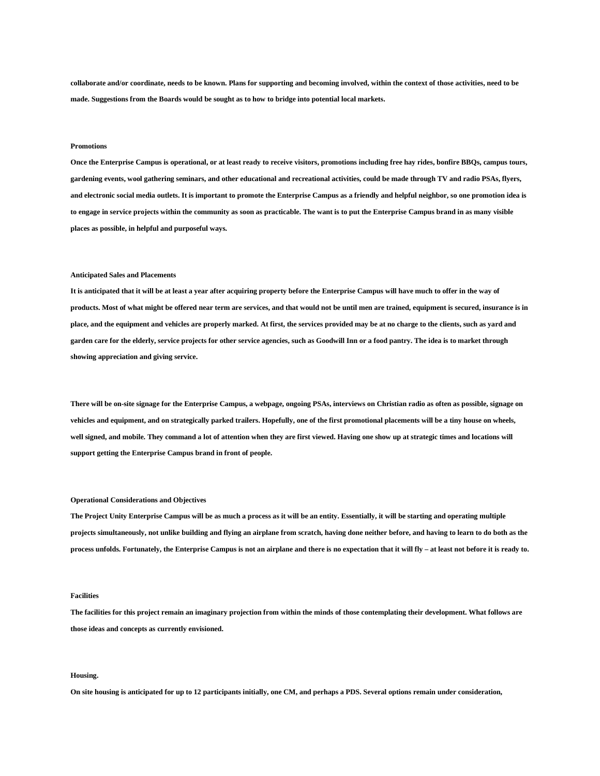**collaborate and/or coordinate, needs to be known. Plans for supporting and becoming involved, within the context of those activities, need to be made. Suggestions from the Boards would be sought as to how to bridge into potential local markets.**

#### **Promotions**

**Once the Enterprise Campus is operational, or at least ready to receive visitors, promotions including free hay rides, bonfire BBQs, campus tours, gardening events, wool gathering seminars, and other educational and recreational activities, could be made through TV and radio PSAs, flyers, and electronic social media outlets. It is important to promote the Enterprise Campus as a friendly and helpful neighbor, so one promotion idea is to engage in service projects within the community as soon as practicable. The want is to put the Enterprise Campus brand in as many visible places as possible, in helpful and purposeful ways.**

#### **Anticipated Sales and Placements**

**It is anticipated that it will be at least a year after acquiring property before the Enterprise Campus will have much to offer in the way of products. Most of what might be offered near term are services, and that would not be until men are trained, equipment is secured, insurance is in place, and the equipment and vehicles are properly marked. At first, the services provided may be at no charge to the clients, such as yard and garden care for the elderly, service projects for other service agencies, such as Goodwill Inn or a food pantry. The idea is to market through showing appreciation and giving service.**

**There will be on-site signage for the Enterprise Campus, a webpage, ongoing PSAs, interviews on Christian radio as often as possible, signage on vehicles and equipment, and on strategically parked trailers. Hopefully, one of the first promotional placements will be a tiny house on wheels, well signed, and mobile. They command a lot of attention when they are first viewed. Having one show up at strategic times and locations will support getting the Enterprise Campus brand in front of people.**

## **Operational Considerations and Objectives**

**The Project Unity Enterprise Campus will be as much a process as it will be an entity. Essentially, it will be starting and operating multiple projects simultaneously, not unlike building and flying an airplane from scratch, having done neither before, and having to learn to do both as the process unfolds. Fortunately, the Enterprise Campus is not an airplane and there is no expectation that it will fly – at least not before it is ready to.**

## **Facilities**

**The facilities for this project remain an imaginary projection from within the minds of those contemplating their development. What follows are those ideas and concepts as currently envisioned.**

#### **Housing.**

**On site housing is anticipated for up to 12 participants initially, one CM, and perhaps a PDS. Several options remain under consideration,**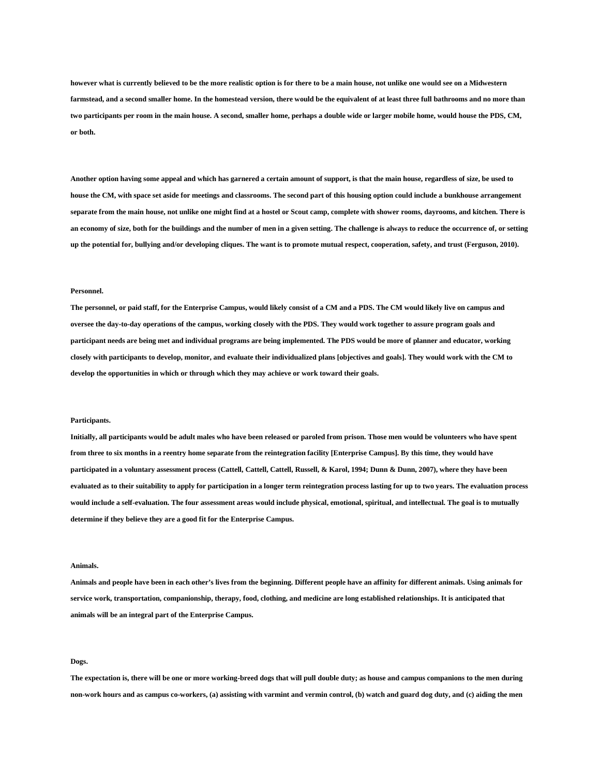**however what is currently believed to be the more realistic option is for there to be a main house, not unlike one would see on a Midwestern farmstead, and a second smaller home. In the homestead version, there would be the equivalent of at least three full bathrooms and no more than two participants per room in the main house. A second, smaller home, perhaps a double wide or larger mobile home, would house the PDS, CM, or both.**

**Another option having some appeal and which has garnered a certain amount of support, is that the main house, regardless of size, be used to house the CM, with space set aside for meetings and classrooms. The second part of this housing option could include a bunkhouse arrangement separate from the main house, not unlike one might find at a hostel or Scout camp, complete with shower rooms, dayrooms, and kitchen. There is an economy of size, both for the buildings and the number of men in a given setting. The challenge is always to reduce the occurrence of, or setting up the potential for, bullying and/or developing cliques. The want is to promote mutual respect, cooperation, safety, and trust (Ferguson, 2010).**

#### **Personnel.**

**The personnel, or paid staff, for the Enterprise Campus, would likely consist of a CM and a PDS. The CM would likely live on campus and oversee the day-to-day operations of the campus, working closely with the PDS. They would work together to assure program goals and participant needs are being met and individual programs are being implemented. The PDS would be more of planner and educator, working closely with participants to develop, monitor, and evaluate their individualized plans [objectives and goals]. They would work with the CM to develop the opportunities in which or through which they may achieve or work toward their goals.**

#### **Participants.**

**Initially, all participants would be adult males who have been released or paroled from prison. Those men would be volunteers who have spent from three to six months in a reentry home separate from the reintegration facility [Enterprise Campus]. By this time, they would have participated in a voluntary assessment process (Cattell, Cattell, Cattell, Russell, & Karol, 1994; Dunn & Dunn, 2007), where they have been evaluated as to their suitability to apply for participation in a longer term reintegration process lasting for up to two years. The evaluation process would include a self-evaluation. The four assessment areas would include physical, emotional, spiritual, and intellectual. The goal is to mutually determine if they believe they are a good fit for the Enterprise Campus.**

#### **Animals.**

**Animals and people have been in each other's lives from the beginning. Different people have an affinity for different animals. Using animals for service work, transportation, companionship, therapy, food, clothing, and medicine are long established relationships. It is anticipated that animals will be an integral part of the Enterprise Campus.**

#### **Dogs.**

**The expectation is, there will be one or more working-breed dogs that will pull double duty; as house and campus companions to the men during non-work hours and as campus co-workers, (a) assisting with varmint and vermin control, (b) watch and guard dog duty, and (c) aiding the men**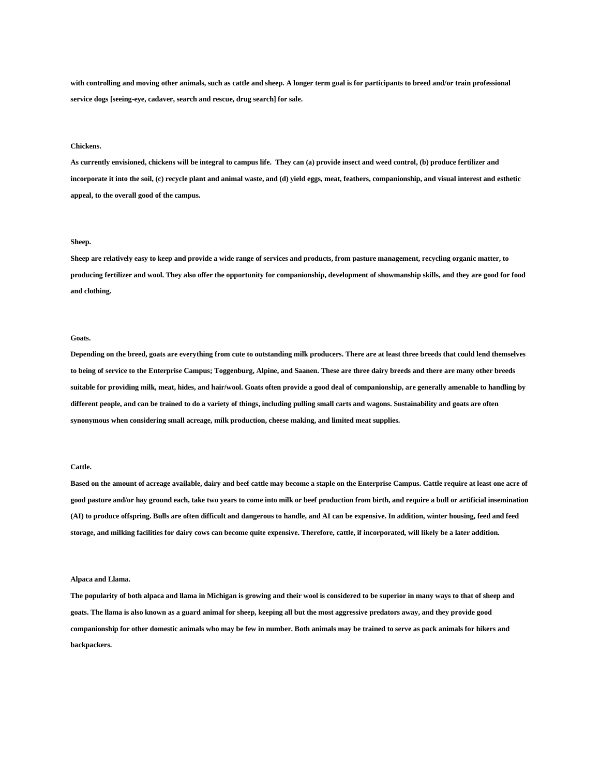with controlling and moving other animals, such as cattle and sheep. A longer term goal is for participants to breed and/or train professional **service dogs [seeing-eye, cadaver, search and rescue, drug search] for sale.**

#### **Chickens.**

**As currently envisioned, chickens will be integral to campus life. They can (a) provide insect and weed control, (b) produce fertilizer and incorporate it into the soil, (c) recycle plant and animal waste, and (d) yield eggs, meat, feathers, companionship, and visual interest and esthetic appeal, to the overall good of the campus.**

## **Sheep.**

**Sheep are relatively easy to keep and provide a wide range of services and products, from pasture management, recycling organic matter, to producing fertilizer and wool. They also offer the opportunity for companionship, development of showmanship skills, and they are good for food and clothing.**

#### **Goats.**

**Depending on the breed, goats are everything from cute to outstanding milk producers. There are at least three breeds that could lend themselves to being of service to the Enterprise Campus; Toggenburg, Alpine, and Saanen. These are three dairy breeds and there are many other breeds suitable for providing milk, meat, hides, and hair/wool. Goats often provide a good deal of companionship, are generally amenable to handling by different people, and can be trained to do a variety of things, including pulling small carts and wagons. Sustainability and goats are often synonymous when considering small acreage, milk production, cheese making, and limited meat supplies.**

## **Cattle.**

**Based on the amount of acreage available, dairy and beef cattle may become a staple on the Enterprise Campus. Cattle require at least one acre of good pasture and/or hay ground each, take two years to come into milk or beef production from birth, and require a bull or artificial insemination (AI) to produce offspring. Bulls are often difficult and dangerous to handle, and AI can be expensive. In addition, winter housing, feed and feed storage, and milking facilities for dairy cows can become quite expensive. Therefore, cattle, if incorporated, will likely be a later addition.**

#### **Alpaca and Llama.**

**The popularity of both alpaca and llama in Michigan is growing and their wool is considered to be superior in many ways to that of sheep and goats. The llama is also known as a guard animal for sheep, keeping all but the most aggressive predators away, and they provide good companionship for other domestic animals who may be few in number. Both animals may be trained to serve as pack animals for hikers and backpackers.**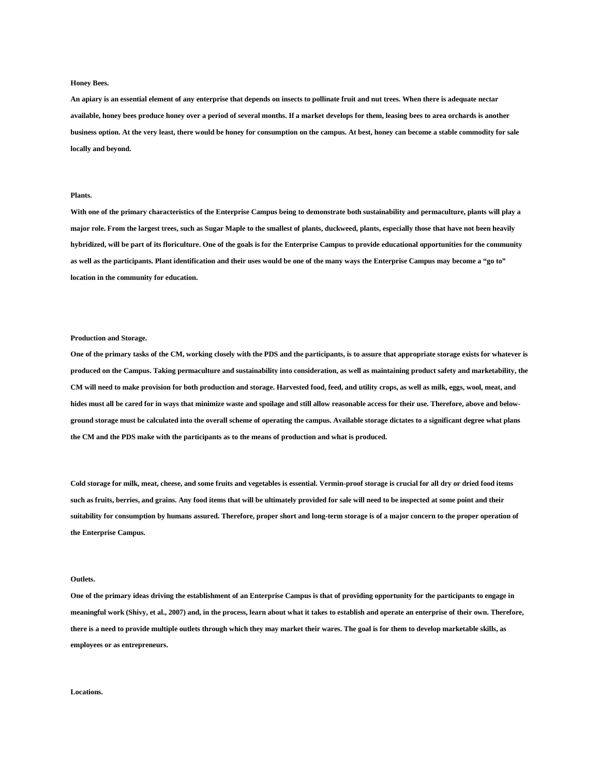#### **Honey Bees.**

**An apiary is an essential element of any enterprise that depends on insects to pollinate fruit and nut trees. When there is adequate nectar available, honey bees produce honey over a period of several months. If a market develops for them, leasing bees to area orchards is another business option. At the very least, there would be honey for consumption on the campus. At best, honey can become a stable commodity for sale locally and beyond.**

## **Plants.**

**With one of the primary characteristics of the Enterprise Campus being to demonstrate both sustainability and permaculture, plants will play a major role. From the largest trees, such as Sugar Maple to the smallest of plants, duckweed, plants, especially those that have not been heavily hybridized, will be part of its floriculture. One of the goals is for the Enterprise Campus to provide educational opportunities for the community as well as the participants. Plant identification and their uses would be one of the many ways the Enterprise Campus may become a "go to" location in the community for education.**

#### **Production and Storage.**

**One of the primary tasks of the CM, working closely with the PDS and the participants, is to assure that appropriate storage exists for whatever is produced on the Campus. Taking permaculture and sustainability into consideration, as well as maintaining product safety and marketability, the CM will need to make provision for both production and storage. Harvested food, feed, and utility crops, as well as milk, eggs, wool, meat, and hides must all be cared for in ways that minimize waste and spoilage and still allow reasonable access for their use. Therefore, above and belowground storage must be calculated into the overall scheme of operating the campus. Available storage dictates to a significant degree what plans the CM and the PDS make with the participants as to the means of production and what is produced.**

**Cold storage for milk, meat, cheese, and some fruits and vegetables is essential. Vermin-proof storage is crucial for all dry or dried food items such as fruits, berries, and grains. Any food items that will be ultimately provided for sale will need to be inspected at some point and their suitability for consumption by humans assured. Therefore, proper short and long-term storage is of a major concern to the proper operation of the Enterprise Campus.**

#### **Outlets.**

**One of the primary ideas driving the establishment of an Enterprise Campus is that of providing opportunity for the participants to engage in meaningful work (Shivy, et al., 2007) and, in the process, learn about what it takes to establish and operate an enterprise of their own. Therefore, there is a need to provide multiple outlets through which they may market their wares. The goal is for them to develop marketable skills, as employees or as entrepreneurs.**

**Locations.**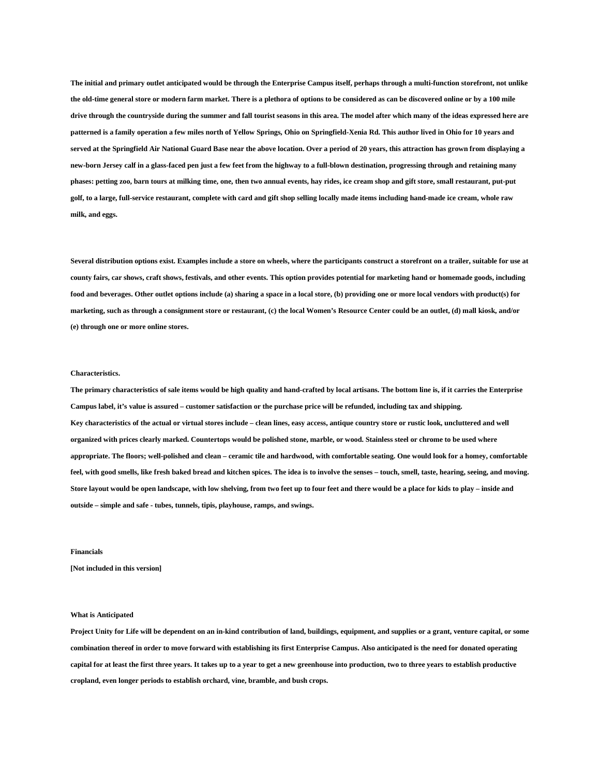**The initial and primary outlet anticipated would be through the Enterprise Campus itself, perhaps through a multi-function storefront, not unlike the old-time general store or modern farm market. There is a plethora of options to be considered as can be discovered online or by a 100 mile drive through the countryside during the summer and fall tourist seasons in this area. The model after which many of the ideas expressed here are patterned is a family operation a few miles north of Yellow Springs, Ohio on Springfield-Xenia Rd. This author lived in Ohio for 10 years and served at the Springfield Air National Guard Base near the above location. Over a period of 20 years, this attraction has grown from displaying a new-born Jersey calf in a glass-faced pen just a few feet from the highway to a full-blown destination, progressing through and retaining many phases: petting zoo, barn tours at milking time, one, then two annual events, hay rides, ice cream shop and gift store, small restaurant, put-put golf, to a large, full-service restaurant, complete with card and gift shop selling locally made items including hand-made ice cream, whole raw milk, and eggs.**

**Several distribution options exist. Examples include a store on wheels, where the participants construct a storefront on a trailer, suitable for use at county fairs, car shows, craft shows, festivals, and other events. This option provides potential for marketing hand or homemade goods, including food and beverages. Other outlet options include (a) sharing a space in a local store, (b) providing one or more local vendors with product(s) for marketing, such as through a consignment store or restaurant, (c) the local Women's Resource Center could be an outlet, (d) mall kiosk, and/or (e) through one or more online stores.**

#### **Characteristics.**

**The primary characteristics of sale items would be high quality and hand-crafted by local artisans. The bottom line is, if it carries the Enterprise Campus label, it's value is assured – customer satisfaction or the purchase price will be refunded, including tax and shipping. Key characteristics of the actual or virtual stores include – clean lines, easy access, antique country store or rustic look, uncluttered and well organized with prices clearly marked. Countertops would be polished stone, marble, or wood. Stainless steel or chrome to be used where appropriate. The floors; well-polished and clean – ceramic tile and hardwood, with comfortable seating. One would look for a homey, comfortable feel, with good smells, like fresh baked bread and kitchen spices. The idea is to involve the senses – touch, smell, taste, hearing, seeing, and moving. Store layout would be open landscape, with low shelving, from two feet up to four feet and there would be a place for kids to play – inside and outside – simple and safe - tubes, tunnels, tipis, playhouse, ramps, and swings.**

## **Financials**

**[Not included in this version]**

#### **What is Anticipated**

**Project Unity for Life will be dependent on an in-kind contribution of land, buildings, equipment, and supplies or a grant, venture capital, or some combination thereof in order to move forward with establishing its first Enterprise Campus. Also anticipated is the need for donated operating capital for at least the first three years. It takes up to a year to get a new greenhouse into production, two to three years to establish productive cropland, even longer periods to establish orchard, vine, bramble, and bush crops.**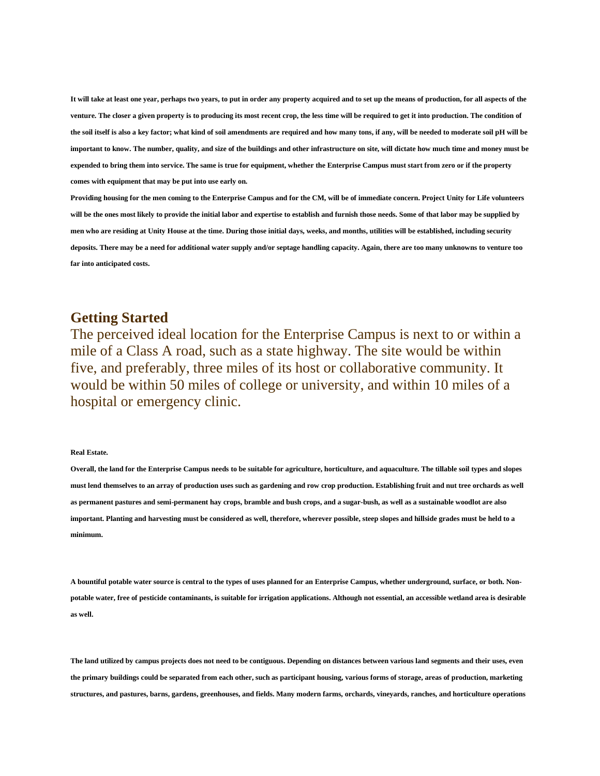**It will take at least one year, perhaps two years, to put in order any property acquired and to set up the means of production, for all aspects of the venture. The closer a given property is to producing its most recent crop, the less time will be required to get it into production. The condition of the soil itself is also a key factor; what kind of soil amendments are required and how many tons, if any, will be needed to moderate soil pH will be important to know. The number, quality, and size of the buildings and other infrastructure on site, will dictate how much time and money must be expended to bring them into service. The same is true for equipment, whether the Enterprise Campus must start from zero or if the property comes with equipment that may be put into use early on.**

**Providing housing for the men coming to the Enterprise Campus and for the CM, will be of immediate concern. Project Unity for Life volunteers will be the ones most likely to provide the initial labor and expertise to establish and furnish those needs. Some of that labor may be supplied by men who are residing at Unity House at the time. During those initial days, weeks, and months, utilities will be established, including security deposits. There may be a need for additional water supply and/or septage handling capacity. Again, there are too many unknowns to venture too far into anticipated costs.**

## **Getting Started**

The perceived ideal location for the Enterprise Campus is next to or within a mile of a Class A road, such as a state highway. The site would be within five, and preferably, three miles of its host or collaborative community. It would be within 50 miles of college or university, and within 10 miles of a hospital or emergency clinic.

## **Real Estate.**

**Overall, the land for the Enterprise Campus needs to be suitable for agriculture, horticulture, and aquaculture. The tillable soil types and slopes must lend themselves to an array of production uses such as gardening and row crop production. Establishing fruit and nut tree orchards as well as permanent pastures and semi-permanent hay crops, bramble and bush crops, and a sugar-bush, as well as a sustainable woodlot are also important. Planting and harvesting must be considered as well, therefore, wherever possible, steep slopes and hillside grades must be held to a minimum.**

**A bountiful potable water source is central to the types of uses planned for an Enterprise Campus, whether underground, surface, or both. Nonpotable water, free of pesticide contaminants, is suitable for irrigation applications. Although not essential, an accessible wetland area is desirable as well.**

**The land utilized by campus projects does not need to be contiguous. Depending on distances between various land segments and their uses, even the primary buildings could be separated from each other, such as participant housing, various forms of storage, areas of production, marketing structures, and pastures, barns, gardens, greenhouses, and fields. Many modern farms, orchards, vineyards, ranches, and horticulture operations**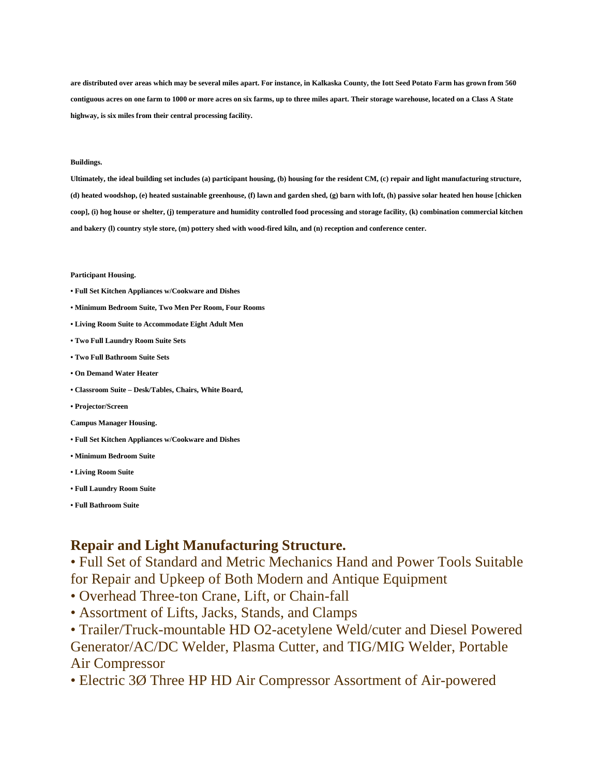**are distributed over areas which may be several miles apart. For instance, in Kalkaska County, the Iott Seed Potato Farm has grown from 560 contiguous acres on one farm to 1000 or more acres on six farms, up to three miles apart. Their storage warehouse, located on a Class A State highway, is six miles from their central processing facility.**

## **Buildings.**

**Ultimately, the ideal building set includes (a) participant housing, (b) housing for the resident CM, (c) repair and light manufacturing structure, (d) heated woodshop, (e) heated sustainable greenhouse, (f) lawn and garden shed, (g) barn with loft, (h) passive solar heated hen house [chicken coop], (i) hog house or shelter, (j) temperature and humidity controlled food processing and storage facility, (k) combination commercial kitchen and bakery (l) country style store, (m) pottery shed with wood-fired kiln, and (n) reception and conference center.**

## **Participant Housing.**

- **Full Set Kitchen Appliances w/Cookware and Dishes**
- **Minimum Bedroom Suite, Two Men Per Room, Four Rooms**
- **Living Room Suite to Accommodate Eight Adult Men**
- **Two Full Laundry Room Suite Sets**
- **Two Full Bathroom Suite Sets**
- **On Demand Water Heater**
- **Classroom Suite – Desk/Tables, Chairs, White Board,**
- **Projector/Screen**
- **Campus Manager Housing.**
- **Full Set Kitchen Appliances w/Cookware and Dishes**
- **Minimum Bedroom Suite**
- **Living Room Suite**
- **Full Laundry Room Suite**
- **Full Bathroom Suite**

## **Repair and Light Manufacturing Structure.**

• Full Set of Standard and Metric Mechanics Hand and Power Tools Suitable for Repair and Upkeep of Both Modern and Antique Equipment

- Overhead Three-ton Crane, Lift, or Chain-fall
- Assortment of Lifts, Jacks, Stands, and Clamps

• Trailer/Truck-mountable HD O2-acetylene Weld/cuter and Diesel Powered Generator/AC/DC Welder, Plasma Cutter, and TIG/MIG Welder, Portable Air Compressor

• Electric 3Ø Three HP HD Air Compressor Assortment of Air-powered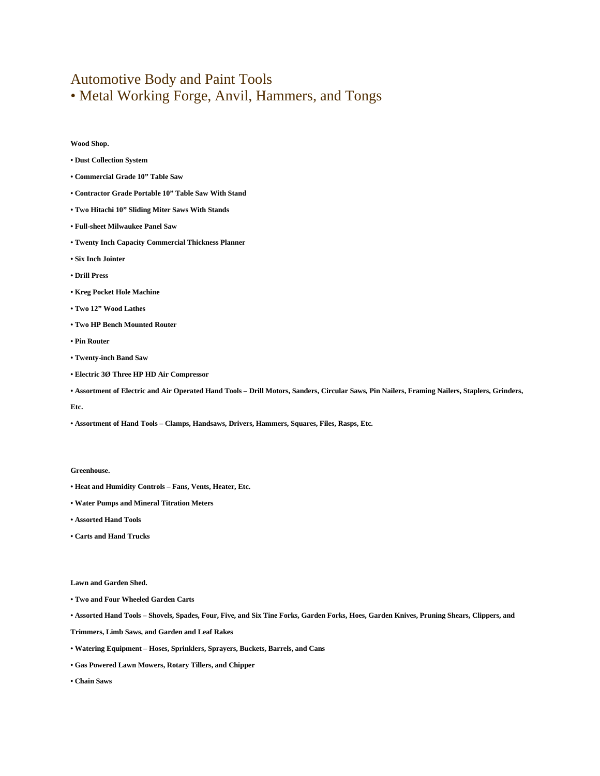# Automotive Body and Paint Tools • Metal Working Forge, Anvil, Hammers, and Tongs

**Wood Shop.**

- **Dust Collection System**
- **Commercial Grade 10" Table Saw**
- **Contractor Grade Portable 10" Table Saw With Stand**
- **Two Hitachi 10" Sliding Miter Saws With Stands**
- **Full-sheet Milwaukee Panel Saw**
- **Twenty Inch Capacity Commercial Thickness Planner**
- **Six Inch Jointer**
- **Drill Press**
- **Kreg Pocket Hole Machine**
- **Two 12" Wood Lathes**
- **Two HP Bench Mounted Router**
- **Pin Router**
- **Twenty-inch Band Saw**
- **Electric 3Ø Three HP HD Air Compressor**
- **Assortment of Electric and Air Operated Hand Tools – Drill Motors, Sanders, Circular Saws, Pin Nailers, Framing Nailers, Staplers, Grinders,**

#### **Etc.**

**• Assortment of Hand Tools – Clamps, Handsaws, Drivers, Hammers, Squares, Files, Rasps, Etc.**

#### **Greenhouse.**

- **Heat and Humidity Controls – Fans, Vents, Heater, Etc.**
- **Water Pumps and Mineral Titration Meters**
- **Assorted Hand Tools**
- **Carts and Hand Trucks**

## **Lawn and Garden Shed.**

- **Two and Four Wheeled Garden Carts**
- **Assorted Hand Tools – Shovels, Spades, Four, Five, and Six Tine Forks, Garden Forks, Hoes, Garden Knives, Pruning Shears, Clippers, and**
- **Trimmers, Limb Saws, and Garden and Leaf Rakes**
- **Watering Equipment – Hoses, Sprinklers, Sprayers, Buckets, Barrels, and Cans**
- **Gas Powered Lawn Mowers, Rotary Tillers, and Chipper**
- **Chain Saws**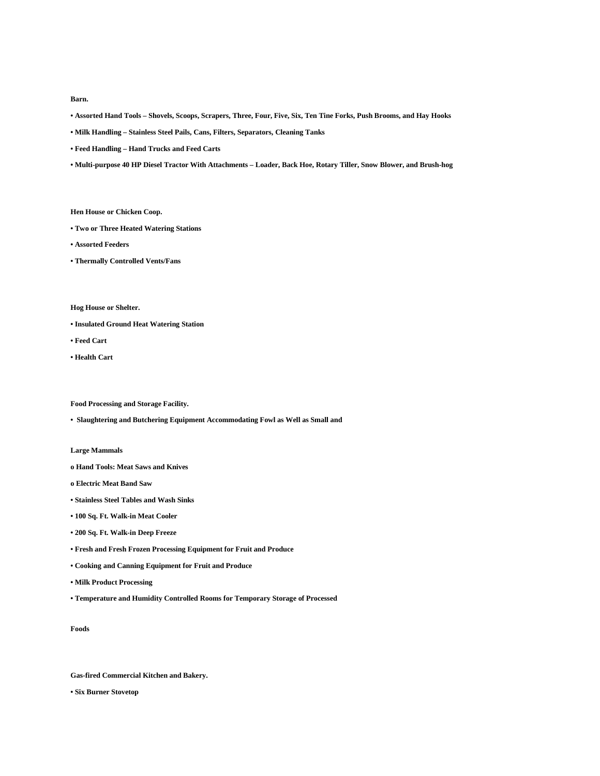**Barn.**

- **Assorted Hand Tools – Shovels, Scoops, Scrapers, Three, Four, Five, Six, Ten Tine Forks, Push Brooms, and Hay Hooks**
- **Milk Handling – Stainless Steel Pails, Cans, Filters, Separators, Cleaning Tanks**
- **Feed Handling – Hand Trucks and Feed Carts**
- **Multi-purpose 40 HP Diesel Tractor With Attachments – Loader, Back Hoe, Rotary Tiller, Snow Blower, and Brush-hog**

**Hen House or Chicken Coop.**

- **Two or Three Heated Watering Stations**
- **Assorted Feeders**
- **Thermally Controlled Vents/Fans**

**Hog House or Shelter.**

- **Insulated Ground Heat Watering Station**
- **Feed Cart**
- **Health Cart**

**Food Processing and Storage Facility.**

**• Slaughtering and Butchering Equipment Accommodating Fowl as Well as Small and** 

**Large Mammals**

- **o Hand Tools: Meat Saws and Knives**
- **o Electric Meat Band Saw**
- **Stainless Steel Tables and Wash Sinks**
- **100 Sq. Ft. Walk-in Meat Cooler**
- **200 Sq. Ft. Walk-in Deep Freeze**
- **Fresh and Fresh Frozen Processing Equipment for Fruit and Produce**
- **Cooking and Canning Equipment for Fruit and Produce**

**• Milk Product Processing**

**• Temperature and Humidity Controlled Rooms for Temporary Storage of Processed** 

**Foods**

**Gas-fired Commercial Kitchen and Bakery.**

**• Six Burner Stovetop**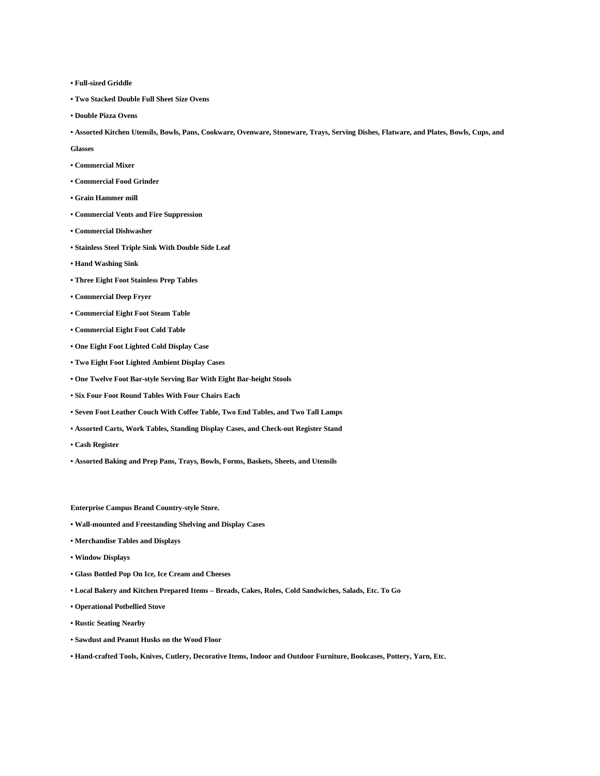- **Full-sized Griddle**
- **Two Stacked Double Full Sheet Size Ovens**
- **Double Pizza Ovens**
- **Assorted Kitchen Utensils, Bowls, Pans, Cookware, Ovenware, Stoneware, Trays, Serving Dishes, Flatware, and Plates, Bowls, Cups, and**

**Glasses**

- **Commercial Mixer**
- **Commercial Food Grinder**
- **Grain Hammer mill**
- **Commercial Vents and Fire Suppression**
- **Commercial Dishwasher**
- **Stainless Steel Triple Sink With Double Side Leaf**
- **Hand Washing Sink**
- **Three Eight Foot Stainless Prep Tables**
- **Commercial Deep Fryer**
- **Commercial Eight Foot Steam Table**
- **Commercial Eight Foot Cold Table**
- **One Eight Foot Lighted Cold Display Case**
- **Two Eight Foot Lighted Ambient Display Cases**
- **One Twelve Foot Bar-style Serving Bar With Eight Bar-height Stools**
- **Six Four Foot Round Tables With Four Chairs Each**
- **Seven Foot Leather Couch With Coffee Table, Two End Tables, and Two Tall Lamps**
- **Assorted Carts, Work Tables, Standing Display Cases, and Check-out Register Stand**
- **Cash Register**
- **Assorted Baking and Prep Pans, Trays, Bowls, Forms, Baskets, Sheets, and Utensils**

**Enterprise Campus Brand Country-style Store.**

- **Wall-mounted and Freestanding Shelving and Display Cases**
- **Merchandise Tables and Displays**
- **Window Displays**
- **Glass Bottled Pop On Ice, Ice Cream and Cheeses**
- **Local Bakery and Kitchen Prepared Items – Breads, Cakes, Roles, Cold Sandwiches, Salads, Etc. To Go**
- **Operational Potbellied Stove**
- **Rustic Seating Nearby**
- **Sawdust and Peanut Husks on the Wood Floor**
- **Hand-crafted Tools, Knives, Cutlery, Decorative Items, Indoor and Outdoor Furniture, Bookcases, Pottery, Yarn, Etc.**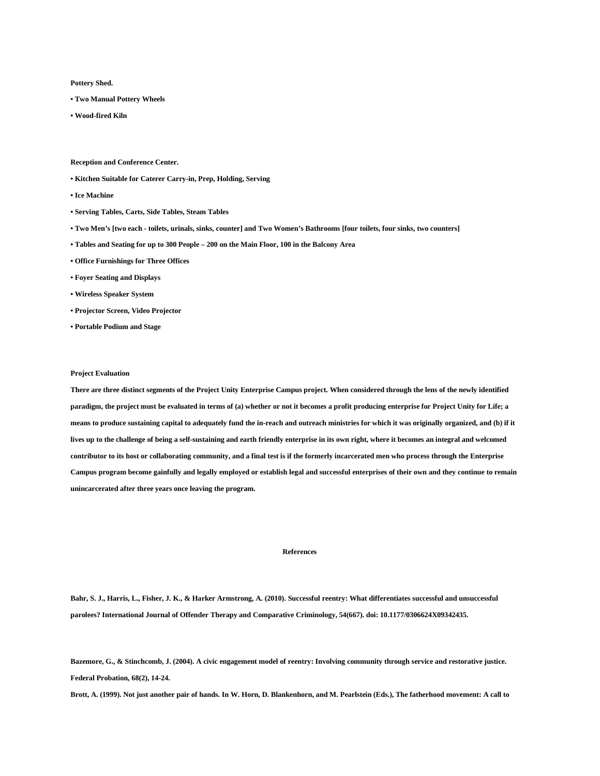**Pottery Shed.**

- **Two Manual Pottery Wheels**
- **Wood-fired Kiln**

**Reception and Conference Center.**

- **Kitchen Suitable for Caterer Carry-in, Prep, Holding, Serving**
- **Ice Machine**
- **Serving Tables, Carts, Side Tables, Steam Tables**
- **Two Men's [two each - toilets, urinals, sinks, counter] and Two Women's Bathrooms [four toilets, four sinks, two counters]**
- **Tables and Seating for up to 300 People – 200 on the Main Floor, 100 in the Balcony Area**
- **Office Furnishings for Three Offices**
- **Foyer Seating and Displays**
- **Wireless Speaker System**
- **Projector Screen, Video Projector**
- **Portable Podium and Stage**

#### **Project Evaluation**

**There are three distinct segments of the Project Unity Enterprise Campus project. When considered through the lens of the newly identified paradigm, the project must be evaluated in terms of (a) whether or not it becomes a profit producing enterprise for Project Unity for Life; a means to produce sustaining capital to adequately fund the in-reach and outreach ministries for which it was originally organized, and (b) if it lives up to the challenge of being a self-sustaining and earth friendly enterprise in its own right, where it becomes an integral and welcomed contributor to its host or collaborating community, and a final test is if the formerly incarcerated men who process through the Enterprise Campus program become gainfully and legally employed or establish legal and successful enterprises of their own and they continue to remain unincarcerated after three years once leaving the program.**

## **References**

**Bahr, S. J., Harris, L., Fisher, J. K., & Harker Armstrong, A. (2010). Successful reentry: What differentiates successful and unsuccessful parolees? International Journal of Offender Therapy and Comparative Criminology, 54(667). doi: 10.1177/0306624X09342435.**

**Bazemore, G., & Stinchcomb, J. (2004). A civic engagement model of reentry: Involving community through service and restorative justice. Federal Probation, 68(2), 14-24.**

**Brott, A. (1999). Not just another pair of hands. In W. Horn, D. Blankenhorn, and M. Pearlstein (Eds.), The fatherhood movement: A call to**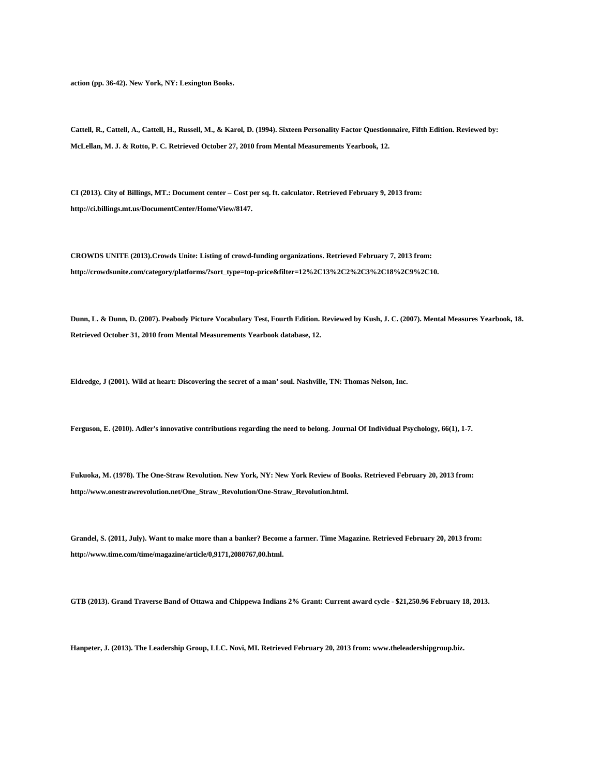**action (pp. 36-42). New York, NY: Lexington Books.**

**Cattell, R., Cattell, A., Cattell, H., Russell, M., & Karol, D. (1994). Sixteen Personality Factor Questionnaire, Fifth Edition. Reviewed by: McLellan, M. J. & Rotto, P. C. Retrieved October 27, 2010 from Mental Measurements Yearbook, 12.**

**CI (2013). City of Billings, MT.: Document center – Cost per sq. ft. calculator. Retrieved February 9, 2013 from: http://ci.billings.mt.us/DocumentCenter/Home/View/8147.**

**CROWDS UNITE (2013).Crowds Unite: Listing of crowd-funding organizations. Retrieved February 7, 2013 from: http://crowdsunite.com/category/platforms/?sort\_type=top-price&filter=12%2C13%2C2%2C3%2C18%2C9%2C10.**

**Dunn, L. & Dunn, D. (2007). Peabody Picture Vocabulary Test, Fourth Edition. Reviewed by Kush, J. C. (2007). Mental Measures Yearbook, 18. Retrieved October 31, 2010 from Mental Measurements Yearbook database, 12.**

**Eldredge, J (2001). Wild at heart: Discovering the secret of a man' soul. Nashville, TN: Thomas Nelson, Inc.**

**Ferguson, E. (2010). Adler's innovative contributions regarding the need to belong. Journal Of Individual Psychology, 66(1), 1-7.**

**Fukuoka, M. (1978). The One-Straw Revolution. New York, NY: New York Review of Books. Retrieved February 20, 2013 from: http://www.onestrawrevolution.net/One\_Straw\_Revolution/One-Straw\_Revolution.html.**

**Grandel, S. (2011, July). Want to make more than a banker? Become a farmer. Time Magazine. Retrieved February 20, 2013 from: http://www.time.com/time/magazine/article/0,9171,2080767,00.html.**

**GTB (2013). Grand Traverse Band of Ottawa and Chippewa Indians 2% Grant: Current award cycle - \$21,250.96 February 18, 2013.**

**Hanpeter, J. (2013). The Leadership Group, LLC. Novi, MI. Retrieved February 20, 2013 from: www.theleadershipgroup.biz.**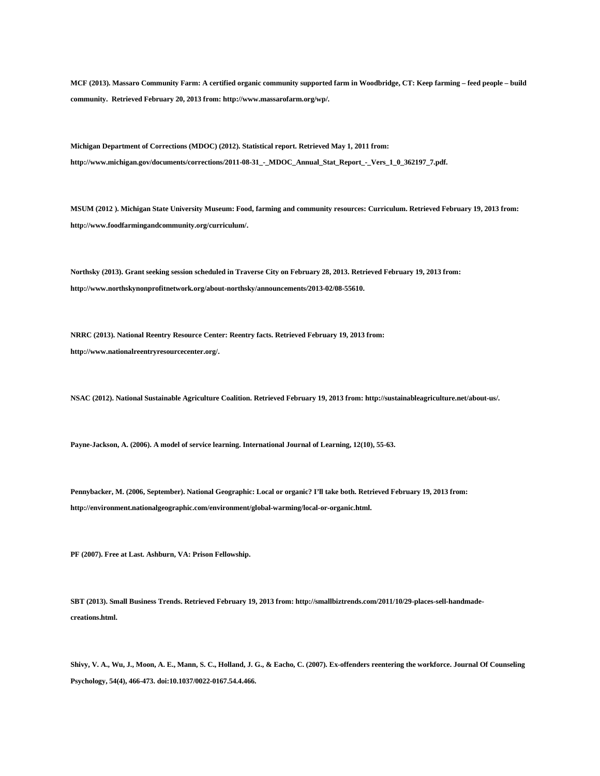**MCF (2013). Massaro Community Farm: A certified organic community supported farm in Woodbridge, CT: Keep farming – feed people – build community. Retrieved February 20, 2013 from: http://www.massarofarm.org/wp/.**

**Michigan Department of Corrections (MDOC) (2012). Statistical report. Retrieved May 1, 2011 from: http://www.michigan.gov/documents/corrections/2011-08-31\_-\_MDOC\_Annual\_Stat\_Report\_-\_Vers\_1\_0\_362197\_7.pdf.**

**MSUM (2012 ). Michigan State University Museum: Food, farming and community resources: Curriculum. Retrieved February 19, 2013 from: http://www.foodfarmingandcommunity.org/curriculum/.**

**Northsky (2013). Grant seeking session scheduled in Traverse City on February 28, 2013. Retrieved February 19, 2013 from: http://www.northskynonprofitnetwork.org/about-northsky/announcements/2013-02/08-55610.**

**NRRC (2013). National Reentry Resource Center: Reentry facts. Retrieved February 19, 2013 from: http://www.nationalreentryresourcecenter.org/.**

**NSAC (2012). National Sustainable Agriculture Coalition. Retrieved February 19, 2013 from: http://sustainableagriculture.net/about-us/.**

**Payne-Jackson, A. (2006). A model of service learning. International Journal of Learning, 12(10), 55-63.**

**Pennybacker, M. (2006, September). National Geographic: Local or organic? I'll take both. Retrieved February 19, 2013 from: http://environment.nationalgeographic.com/environment/global-warming/local-or-organic.html.**

**PF (2007). Free at Last. Ashburn, VA: Prison Fellowship.**

**SBT (2013). Small Business Trends. Retrieved February 19, 2013 from: http://smallbiztrends.com/2011/10/29-places-sell-handmadecreations.html.**

**Shivy, V. A., Wu, J., Moon, A. E., Mann, S. C., Holland, J. G., & Eacho, C. (2007). Ex-offenders reentering the workforce. Journal Of Counseling Psychology, 54(4), 466-473. doi:10.1037/0022-0167.54.4.466.**